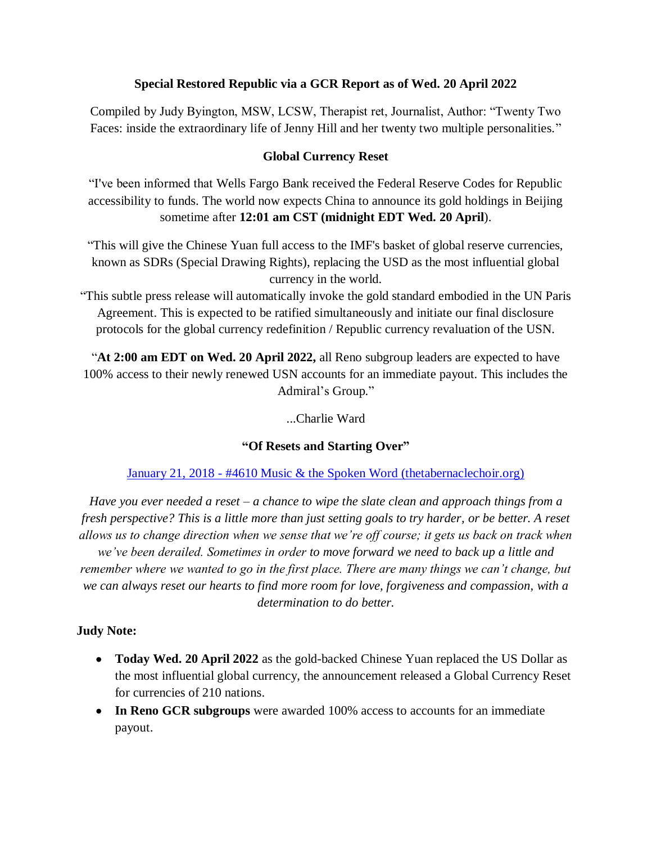#### **Special Restored Republic via a GCR Report as of Wed. 20 April 2022**

Compiled by Judy Byington, MSW, LCSW, Therapist ret, Journalist, Author: "Twenty Two Faces: inside the extraordinary life of Jenny Hill and her twenty two multiple personalities."

#### **Global Currency Reset**

―I've been informed that Wells Fargo Bank received the Federal Reserve Codes for Republic accessibility to funds. The world now expects China to announce its gold holdings in Beijing sometime after **12:01 am CST (midnight EDT Wed. 20 April**).

"This will give the Chinese Yuan full access to the IMF's basket of global reserve currencies, known as SDRs (Special Drawing Rights), replacing the USD as the most influential global currency in the world.

―This subtle press release will automatically invoke the gold standard embodied in the UN Paris Agreement. This is expected to be ratified simultaneously and initiate our final disclosure protocols for the global currency redefinition / Republic currency revaluation of the USN.

―**At 2:00 am EDT on Wed. 20 April 2022,** all Reno subgroup leaders are expected to have 100% access to their newly renewed USN accounts for an immediate payout. This includes the Admiral's Group."

...Charlie Ward

#### **"Of Resets and Starting Over"**

#### January 21, 2018 - [#4610 Music & the Spoken Word \(thetabernaclechoir.org\)](https://www.thetabernaclechoir.org/videos/january-21-2018-4610-music-and-the-spoken-word-.html)

*Have you ever needed a reset – a chance to wipe the slate clean and approach things from a fresh perspective? This is a little more than just setting goals to try harder, or be better. A reset allows us to change direction when we sense that we're off course; it gets us back on track when we've been derailed. Sometimes in order to move forward we need to back up a little and remember where we wanted to go in the first place. There are many things we can't change, but we can always reset our hearts to find more room for love, forgiveness and compassion, with a determination to do better.*

#### **Judy Note:**

- **Today Wed. 20 April 2022** as the gold-backed Chinese Yuan replaced the US Dollar as the most influential global currency, the announcement released a Global Currency Reset for currencies of 210 nations.
- **In Reno GCR subgroups** were awarded 100% access to accounts for an immediate payout.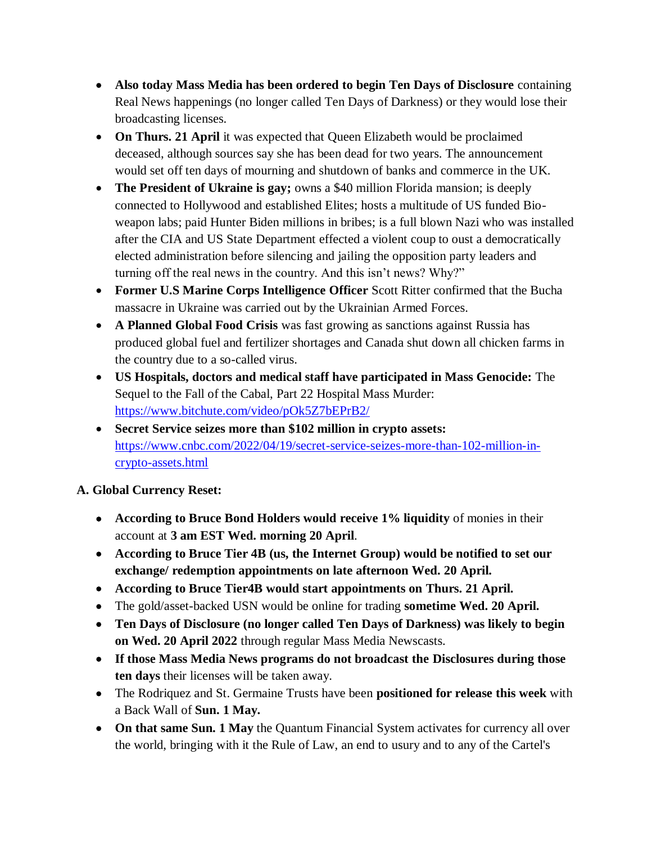- **Also today Mass Media has been ordered to begin Ten Days of Disclosure** containing Real News happenings (no longer called Ten Days of Darkness) or they would lose their broadcasting licenses.
- **On Thurs. 21 April** it was expected that Queen Elizabeth would be proclaimed deceased, although sources say she has been dead for two years. The announcement would set off ten days of mourning and shutdown of banks and commerce in the UK.
- **The President of Ukraine is gay;** owns a \$40 million Florida mansion; is deeply connected to Hollywood and established Elites; hosts a multitude of US funded Bioweapon labs; paid Hunter Biden millions in bribes; is a full blown Nazi who was installed after the CIA and US State Department effected a violent coup to oust a democratically elected administration before silencing and jailing the opposition party leaders and turning off the real news in the country. And this isn't news? Why?"
- **Former U.S Marine Corps Intelligence Officer** Scott Ritter confirmed that the Bucha massacre in Ukraine was carried out by the Ukrainian Armed Forces.
- **A Planned Global Food Crisis** was fast growing as sanctions against Russia has produced global fuel and fertilizer shortages and Canada shut down all chicken farms in the country due to a so-called virus.
- **US Hospitals, doctors and medical staff have participated in Mass Genocide:** The Sequel to the Fall of the Cabal, Part 22 Hospital Mass Murder: <https://www.bitchute.com/video/pOk5Z7bEPrB2/>
- **Secret Service seizes more than \$102 million in crypto assets:**  [https://www.cnbc.com/2022/04/19/secret-service-seizes-more-than-102-million-in](https://www.cnbc.com/2022/04/19/secret-service-seizes-more-than-102-million-in-crypto-assets.html)[crypto-assets.html](https://www.cnbc.com/2022/04/19/secret-service-seizes-more-than-102-million-in-crypto-assets.html)

# **A. Global Currency Reset:**

- **According to Bruce Bond Holders would receive 1% liquidity** of monies in their account at **3 am EST Wed. morning 20 April**.
- **According to Bruce Tier 4B (us, the Internet Group) would be notified to set our exchange/ redemption appointments on late afternoon Wed. 20 April.**
- **According to Bruce Tier4B would start appointments on Thurs. 21 April.**
- The gold/asset-backed USN would be online for trading **sometime Wed. 20 April.**
- **Ten Days of Disclosure (no longer called Ten Days of Darkness) was likely to begin on Wed. 20 April 2022** through regular Mass Media Newscasts.
- **If those Mass Media News programs do not broadcast the Disclosures during those ten days** their licenses will be taken away.
- The Rodriquez and St. Germaine Trusts have been **positioned for release this week** with a Back Wall of **Sun. 1 May.**
- **On that same Sun. 1 May** the Quantum Financial System activates for currency all over the world, bringing with it the Rule of Law, an end to usury and to any of the Cartel's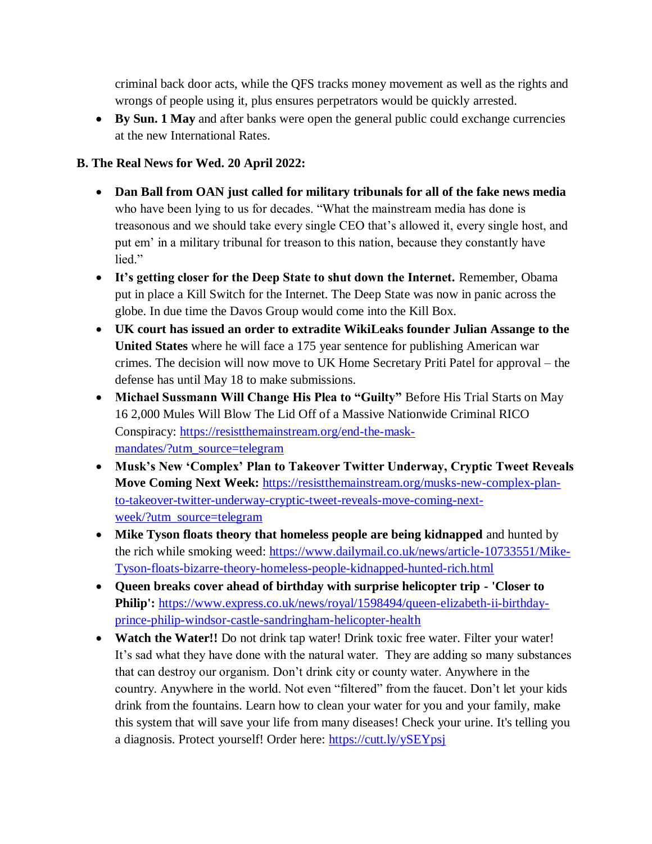criminal back door acts, while the QFS tracks money movement as well as the rights and wrongs of people using it, plus ensures perpetrators would be quickly arrested.

 **By Sun. 1 May** and after banks were open the general public could exchange currencies at the new International Rates.

### **B. The Real News for Wed. 20 April 2022:**

- **Dan Ball from OAN just called for military tribunals for all of the fake news media** who have been lying to us for decades. "What the mainstream media has done is treasonous and we should take every single CEO that's allowed it, every single host, and put em' in a military tribunal for treason to this nation, because they constantly have lied."
- **It"s getting closer for the Deep State to shut down the Internet.** Remember, Obama put in place a Kill Switch for the Internet. The Deep State was now in panic across the globe. In due time the Davos Group would come into the Kill Box.
- **UK court has issued an order to extradite WikiLeaks founder Julian Assange to the United States** where he will face a 175 year sentence for publishing American war crimes. The decision will now move to UK Home Secretary Priti Patel for approval – the defense has until May 18 to make submissions.
- **Michael Sussmann Will Change His Plea to "Guilty"** Before His Trial Starts on May 16 2,000 Mules Will Blow The Lid Off of a Massive Nationwide Criminal RICO Conspiracy: [https://resistthemainstream.org/end-the-mask](https://resistthemainstream.org/end-the-mask-mandates/?utm_source=telegram)[mandates/?utm\\_source=telegram](https://resistthemainstream.org/end-the-mask-mandates/?utm_source=telegram)
- **Musk"s New "Complex" Plan to Takeover Twitter Underway, Cryptic Tweet Reveals Move Coming Next Week:** [https://resistthemainstream.org/musks-new-complex-plan](https://resistthemainstream.org/musks-new-complex-plan-to-takeover-twitter-underway-cryptic-tweet-reveals-move-coming-next-week/?utm_source=telegram)[to-takeover-twitter-underway-cryptic-tweet-reveals-move-coming-next](https://resistthemainstream.org/musks-new-complex-plan-to-takeover-twitter-underway-cryptic-tweet-reveals-move-coming-next-week/?utm_source=telegram)[week/?utm\\_source=telegram](https://resistthemainstream.org/musks-new-complex-plan-to-takeover-twitter-underway-cryptic-tweet-reveals-move-coming-next-week/?utm_source=telegram)
- **Mike Tyson floats theory that homeless people are being kidnapped** and hunted by the rich while smoking weed: [https://www.dailymail.co.uk/news/article-10733551/Mike-](https://www.dailymail.co.uk/news/article-10733551/Mike-Tyson-floats-bizarre-theory-homeless-people-kidnapped-hunted-rich.html)[Tyson-floats-bizarre-theory-homeless-people-kidnapped-hunted-rich.html](https://www.dailymail.co.uk/news/article-10733551/Mike-Tyson-floats-bizarre-theory-homeless-people-kidnapped-hunted-rich.html)
- **Queen breaks cover ahead of birthday with surprise helicopter trip - 'Closer to Philip':** [https://www.express.co.uk/news/royal/1598494/queen-elizabeth-ii-birthday](https://www.express.co.uk/news/royal/1598494/queen-elizabeth-ii-birthday-prince-philip-windsor-castle-sandringham-helicopter-health)[prince-philip-windsor-castle-sandringham-helicopter-health](https://www.express.co.uk/news/royal/1598494/queen-elizabeth-ii-birthday-prince-philip-windsor-castle-sandringham-helicopter-health)
- **Watch the Water!!** Do not drink tap water! Drink toxic free water. Filter your water! It's sad what they have done with the natural water. They are adding so many substances that can destroy our organism. Don't drink city or county water. Anywhere in the country. Anywhere in the world. Not even "filtered" from the faucet. Don't let your kids drink from the fountains. Learn how to clean your water for you and your family, make this system that will save your life from many diseases! Check your urine. It's telling you a diagnosis. Protect yourself! Order here:<https://cutt.ly/ySEYpsj>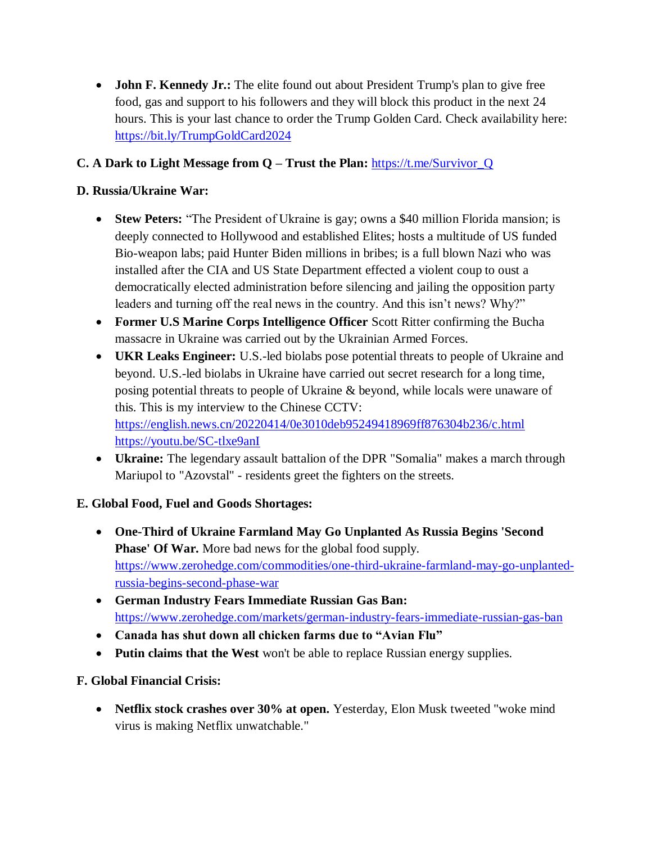**John F. Kennedy Jr.:** The elite found out about President Trump's plan to give free food, gas and support to his followers and they will block this product in the next 24 hours. This is your last chance to order the Trump Golden Card. Check availability here: <https://bit.ly/TrumpGoldCard2024>

# **C. A Dark to Light Message from Q – Trust the Plan:** [https://t.me/Survivor\\_Q](https://t.me/Survivor_Q)

# **D. Russia/Ukraine War:**

- Stew Peters: "The President of Ukraine is gay; owns a \$40 million Florida mansion; is deeply connected to Hollywood and established Elites; hosts a multitude of US funded Bio-weapon labs; paid Hunter Biden millions in bribes; is a full blown Nazi who was installed after the CIA and US State Department effected a violent coup to oust a democratically elected administration before silencing and jailing the opposition party leaders and turning off the real news in the country. And this isn't news? Why?"
- **Former U.S Marine Corps Intelligence Officer** Scott Ritter confirming the Bucha massacre in Ukraine was carried out by the Ukrainian Armed Forces.
- **UKR Leaks Engineer:** U.S.-led biolabs pose potential threats to people of Ukraine and beyond. U.S.-led biolabs in Ukraine have carried out secret research for a long time, posing potential threats to people of Ukraine & beyond, while locals were unaware of this. This is my interview to the Chinese CCTV: <https://english.news.cn/20220414/0e3010deb95249418969ff876304b236/c.html> <https://youtu.be/SC-tlxe9anI>
- **Ukraine:** The legendary assault battalion of the DPR "Somalia" makes a march through Mariupol to "Azovstal" - residents greet the fighters on the streets.

# **E. Global Food, Fuel and Goods Shortages:**

- **One-Third of Ukraine Farmland May Go Unplanted As Russia Begins 'Second Phase' Of War.** More bad news for the global food supply. [https://www.zerohedge.com/commodities/one-third-ukraine-farmland-may-go-unplanted](https://www.zerohedge.com/commodities/one-third-ukraine-farmland-may-go-unplanted-russia-begins-second-phase-war)[russia-begins-second-phase-war](https://www.zerohedge.com/commodities/one-third-ukraine-farmland-may-go-unplanted-russia-begins-second-phase-war)
- **German Industry Fears Immediate Russian Gas Ban:**  <https://www.zerohedge.com/markets/german-industry-fears-immediate-russian-gas-ban>
- **Canada has shut down all chicken farms due to "Avian Flu"**
- **Putin claims that the West** won't be able to replace Russian energy supplies.

# **F. Global Financial Crisis:**

 **Netflix stock crashes over 30% at open.** Yesterday, Elon Musk tweeted "woke mind virus is making Netflix unwatchable."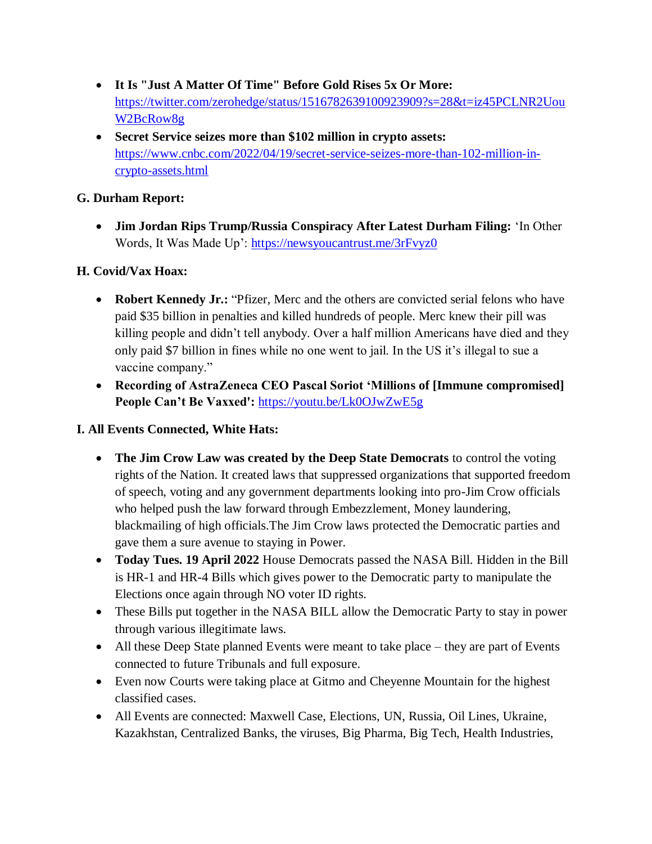- **It Is "Just A Matter Of Time" Before Gold Rises 5x Or More:**  [https://twitter.com/zerohedge/status/1516782639100923909?s=28&t=iz45PCLNR2Uou](https://twitter.com/zerohedge/status/1516782639100923909?s=28&t=iz45PCLNR2UouW2BcRow8g) [W2BcRow8g](https://twitter.com/zerohedge/status/1516782639100923909?s=28&t=iz45PCLNR2UouW2BcRow8g)
- **Secret Service seizes more than \$102 million in crypto assets:**  [https://www.cnbc.com/2022/04/19/secret-service-seizes-more-than-102-million-in](https://www.cnbc.com/2022/04/19/secret-service-seizes-more-than-102-million-in-crypto-assets.html)[crypto-assets.html](https://www.cnbc.com/2022/04/19/secret-service-seizes-more-than-102-million-in-crypto-assets.html)

#### **G. Durham Report:**

• Jim Jordan Rips Trump/Russia Conspiracy After Latest Durham Filing: 'In Other Words, It Was Made Up':<https://newsyoucantrust.me/3rFvyz0>

# **H. Covid/Vax Hoax:**

- Robert Kennedy Jr.: "Pfizer, Merc and the others are convicted serial felons who have paid \$35 billion in penalties and killed hundreds of people. Merc knew their pill was killing people and didn't tell anybody. Over a half million Americans have died and they only paid \$7 billion in fines while no one went to jail. In the US it's illegal to sue a vaccine company."
- **Recording of AstraZeneca CEO Pascal Soriot "Millions of [Immune compromised] People Can"t Be Vaxxed':** <https://youtu.be/Lk0OJwZwE5g>

### **I. All Events Connected, White Hats:**

- **The Jim Crow Law was created by the Deep State Democrats** to control the voting rights of the Nation. It created laws that suppressed organizations that supported freedom of speech, voting and any government departments looking into pro-Jim Crow officials who helped push the law forward through Embezzlement, Money laundering, blackmailing of high officials.The Jim Crow laws protected the Democratic parties and gave them a sure avenue to staying in Power.
- **Today Tues. 19 April 2022** House Democrats passed the NASA Bill. Hidden in the Bill is HR-1 and HR-4 Bills which gives power to the Democratic party to manipulate the Elections once again through NO voter ID rights.
- These Bills put together in the NASA BILL allow the Democratic Party to stay in power through various illegitimate laws.
- All these Deep State planned Events were meant to take place they are part of Events connected to future Tribunals and full exposure.
- Even now Courts were taking place at Gitmo and Cheyenne Mountain for the highest classified cases.
- All Events are connected: Maxwell Case, Elections, UN, Russia, Oil Lines, Ukraine, Kazakhstan, Centralized Banks, the viruses, Big Pharma, Big Tech, Health Industries,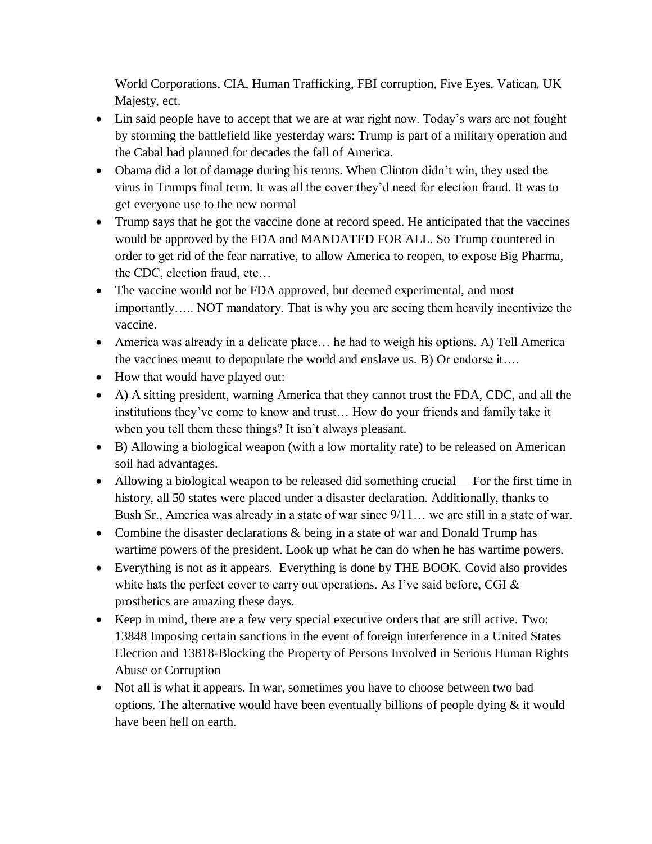World Corporations, CIA, Human Trafficking, FBI corruption, Five Eyes, Vatican, UK Majesty, ect.

- Lin said people have to accept that we are at war right now. Today's wars are not fought by storming the battlefield like yesterday wars: Trump is part of a military operation and the Cabal had planned for decades the fall of America.
- Obama did a lot of damage during his terms. When Clinton didn't win, they used the virus in Trumps final term. It was all the cover they'd need for election fraud. It was to get everyone use to the new normal
- Trump says that he got the vaccine done at record speed. He anticipated that the vaccines would be approved by the FDA and MANDATED FOR ALL. So Trump countered in order to get rid of the fear narrative, to allow America to reopen, to expose Big Pharma, the CDC, election fraud, etc…
- The vaccine would not be FDA approved, but deemed experimental, and most importantly….. NOT mandatory. That is why you are seeing them heavily incentivize the vaccine.
- America was already in a delicate place… he had to weigh his options. A) Tell America the vaccines meant to depopulate the world and enslave us. B) Or endorse it….
- How that would have played out:
- A) A sitting president, warning America that they cannot trust the FDA, CDC, and all the institutions they've come to know and trust… How do your friends and family take it when you tell them these things? It isn't always pleasant.
- B) Allowing a biological weapon (with a low mortality rate) to be released on American soil had advantages.
- Allowing a biological weapon to be released did something crucial— For the first time in history, all 50 states were placed under a disaster declaration. Additionally, thanks to Bush Sr., America was already in a state of war since 9/11… we are still in a state of war.
- Combine the disaster declarations  $\&$  being in a state of war and Donald Trump has wartime powers of the president. Look up what he can do when he has wartime powers.
- Everything is not as it appears. Everything is done by THE BOOK. Covid also provides white hats the perfect cover to carry out operations. As I've said before, CGI  $\&$ prosthetics are amazing these days.
- Keep in mind, there are a few very special executive orders that are still active. Two: 13848 Imposing certain sanctions in the event of foreign interference in a United States Election and 13818-Blocking the Property of Persons Involved in Serious Human Rights Abuse or Corruption
- Not all is what it appears. In war, sometimes you have to choose between two bad options. The alternative would have been eventually billions of people dying & it would have been hell on earth.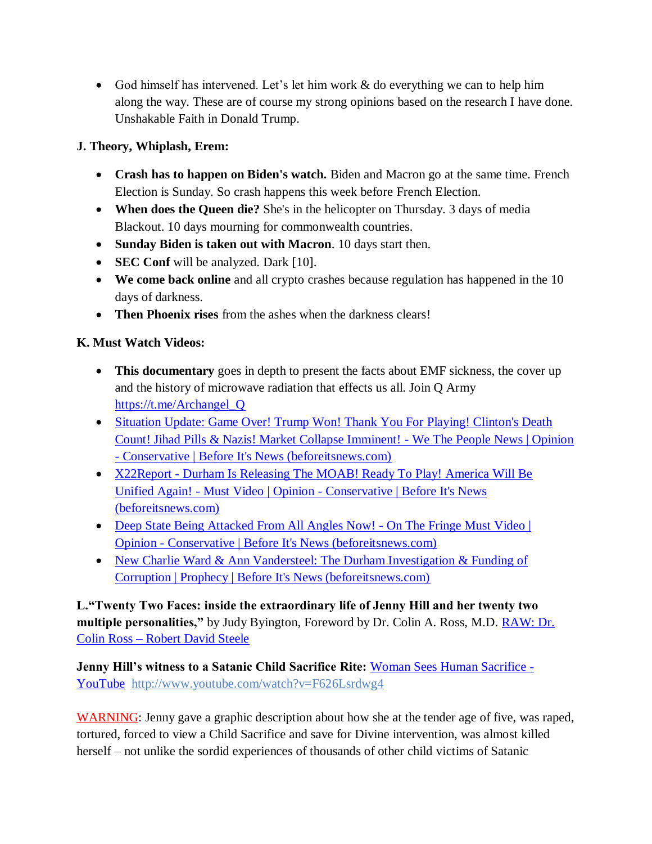God himself has intervened. Let's let him work & do everything we can to help him along the way. These are of course my strong opinions based on the research I have done. Unshakable Faith in Donald Trump.

# **J. Theory, Whiplash, Erem:**

- **Crash has to happen on Biden's watch.** Biden and Macron go at the same time. French Election is Sunday. So crash happens this week before French Election.
- **When does the Queen die?** She's in the helicopter on Thursday. 3 days of media Blackout. 10 days mourning for commonwealth countries.
- **Sunday Biden is taken out with Macron**. 10 days start then.
- **SEC Conf** will be analyzed. Dark [10].
- **We come back online** and all crypto crashes because regulation has happened in the 10 days of darkness.
- **Then Phoenix rises** from the ashes when the darkness clears!

# **K. Must Watch Videos:**

- **This documentary** goes in depth to present the facts about EMF sickness, the cover up and the history of microwave radiation that effects us all. Join Q Army [https://t.me/Archangel\\_Q](https://t.me/Archangel_Q)
- [Situation Update: Game Over! Trump Won! Thank You For](https://beforeitsnews.com/opinion-conservative/2022/04/situation-update-game-over-trump-won-thank-you-for-playing-clintons-death-count-jihad-pills-nazis-market-collapse-imminent-we-the-people-news-3626318.html) Playing! Clinton's Death [Count! Jihad Pills & Nazis! Market Collapse Imminent! -](https://beforeitsnews.com/opinion-conservative/2022/04/situation-update-game-over-trump-won-thank-you-for-playing-clintons-death-count-jihad-pills-nazis-market-collapse-imminent-we-the-people-news-3626318.html) We The People News | Opinion - [Conservative | Before It's News \(beforeitsnews.com\)](https://beforeitsnews.com/opinion-conservative/2022/04/situation-update-game-over-trump-won-thank-you-for-playing-clintons-death-count-jihad-pills-nazis-market-collapse-imminent-we-the-people-news-3626318.html)
- X22Report Durham Is Releasing The MOAB! Ready To Play! America Will Be Unified Again! - Must Video | Opinion - [Conservative | Before It's News](https://beforeitsnews.com/opinion-conservative/2022/04/x22report-durham-is-releasing-the-moab-ready-to-play-america-will-be-unified-again-must-video-3626313.html)  [\(beforeitsnews.com\)](https://beforeitsnews.com/opinion-conservative/2022/04/x22report-durham-is-releasing-the-moab-ready-to-play-america-will-be-unified-again-must-video-3626313.html)
- [Deep State Being Attacked From All Angles Now! -](https://beforeitsnews.com/opinion-conservative/2022/04/deep-state-being-attacked-from-all-angles-now-on-the-fringe-must-video-3626300.html) On The Fringe Must Video | Opinion - [Conservative | Before It's News \(beforeitsnews.com\)](https://beforeitsnews.com/opinion-conservative/2022/04/deep-state-being-attacked-from-all-angles-now-on-the-fringe-must-video-3626300.html)
- New Charlie Ward & Ann Vandersteel: The Durham Investigation & Funding of [Corruption | Prophecy | Before It's News \(beforeitsnews.com\)](https://beforeitsnews.com/prophecy/2022/04/new-charlie-ward-ann-vandersteel-the-durham-investigation-2529834.html)

**L."Twenty Two Faces: inside the extraordinary life of Jenny Hill and her twenty two multiple personalities,"** by Judy Byington, Foreword by Dr. Colin A. Ross, M.D. [RAW: Dr.](https://robertdavidsteele.com/dr-colin-ross/)  Colin Ross – [Robert David Steele](https://robertdavidsteele.com/dr-colin-ross/)

**Jenny Hill's witness to a Satanic Child Sacrifice Rite: [Woman Sees Human Sacrifice -](https://www.youtube.com/watch?v=F626Lsrdwg4)** [YouTube http://www.youtube.com/watch?v=F626Lsrdwg4](https://www.youtube.com/watch?v=F626Lsrdwg4)

WARNING: Jenny gave a graphic description about how she at the tender age of five, was raped, tortured, forced to view a Child Sacrifice and save for Divine intervention, was almost killed herself – not unlike the sordid experiences of thousands of other child victims of Satanic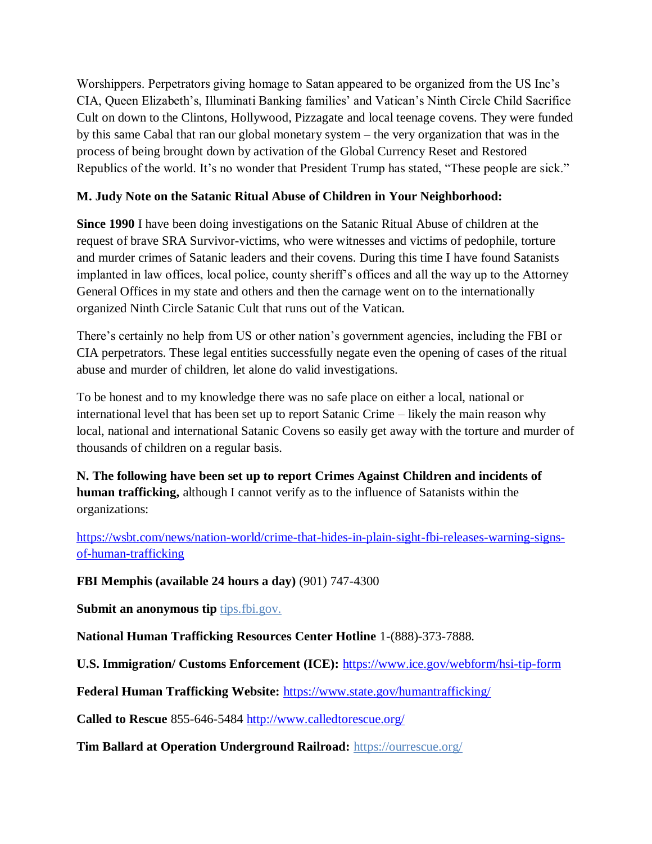Worshippers. Perpetrators giving homage to Satan appeared to be organized from the US Inc's CIA, Queen Elizabeth's, Illuminati Banking families' and Vatican's Ninth Circle Child Sacrifice Cult on down to the Clintons, Hollywood, Pizzagate and local teenage covens. They were funded by this same Cabal that ran our global monetary system – the very organization that was in the process of being brought down by activation of the Global Currency Reset and Restored Republics of the world. It's no wonder that President Trump has stated, "These people are sick."

# **M. Judy Note on the Satanic Ritual Abuse of Children in Your Neighborhood:**

**Since 1990** I have been doing investigations on the Satanic Ritual Abuse of children at the request of brave SRA Survivor-victims, who were witnesses and victims of pedophile, torture and murder crimes of Satanic leaders and their covens. During this time I have found Satanists implanted in law offices, local police, county sheriff's offices and all the way up to the Attorney General Offices in my state and others and then the carnage went on to the internationally organized Ninth Circle Satanic Cult that runs out of the Vatican.

There's certainly no help from US or other nation's government agencies, including the FBI or CIA perpetrators. These legal entities successfully negate even the opening of cases of the ritual abuse and murder of children, let alone do valid investigations.

To be honest and to my knowledge there was no safe place on either a local, national or international level that has been set up to report Satanic Crime – likely the main reason why local, national and international Satanic Covens so easily get away with the torture and murder of thousands of children on a regular basis.

**N. The following have been set up to report Crimes Against Children and incidents of human trafficking,** although I cannot verify as to the influence of Satanists within the organizations:

[https://wsbt.com/news/nation-world/crime-that-hides-in-plain-sight-fbi-releases-warning-signs](https://wsbt.com/news/nation-world/crime-that-hides-in-plain-sight-fbi-releases-warning-signs-of-human-trafficking?video=e56ba52a1b9d45ad8c8a033fd83fe480&jwsource=cl)[of-human-trafficking](https://wsbt.com/news/nation-world/crime-that-hides-in-plain-sight-fbi-releases-warning-signs-of-human-trafficking?video=e56ba52a1b9d45ad8c8a033fd83fe480&jwsource=cl)

**FBI Memphis (available 24 hours a day)** (901) 747-4300

**Submit an anonymous tip tips.fbi.gov.** 

**National Human Trafficking Resources Center Hotline** 1-(888)-373-7888.

**U.S. Immigration/ Customs Enforcement (ICE):** <https://www.ice.gov/webform/hsi-tip-form>

**Federal Human Trafficking Website:** <https://www.state.gov/humantrafficking/>

**Called to Rescue** 855-646-5484<http://www.calledtorescue.org/>

**Tim Ballard at Operation Underground Railroad:** <https://ourrescue.org/>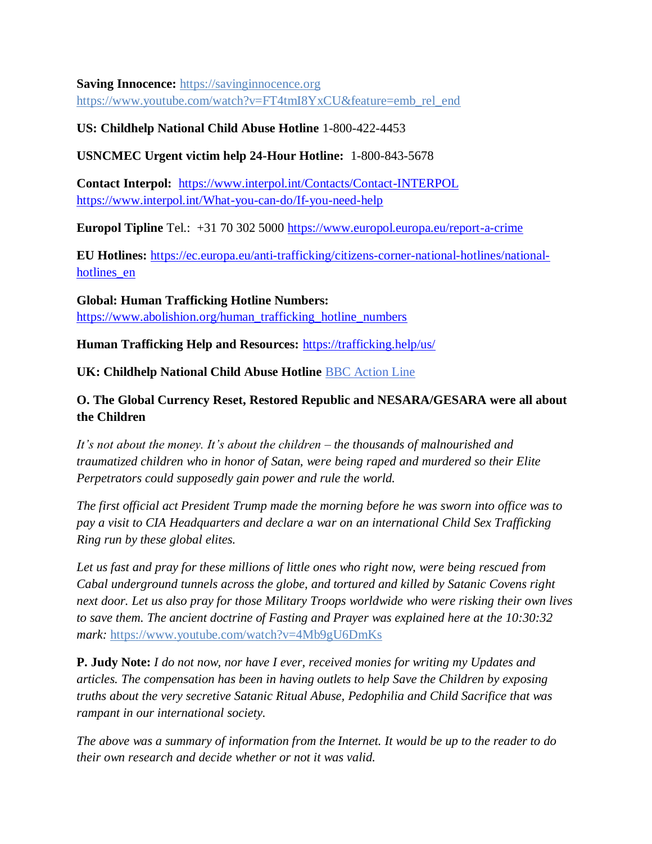**Saving Innocence:** [https://savinginnocence.org](https://savinginnocence.org/) [https://www.youtube.com/watch?v=FT4tmI8YxCU&feature=emb\\_rel\\_end](https://www.youtube.com/watch?v=FT4tmI8YxCU&feature=emb_rel_end)

#### **US: Childhelp National Child Abuse Hotline** 1-800-422-4453

**USNCMEC Urgent victim help 24-Hour Hotline:** 1-800-843-5678

**Contact Interpol:** <https://www.interpol.int/Contacts/Contact-INTERPOL> <https://www.interpol.int/What-you-can-do/If-you-need-help>

**Europol Tipline** Tel.: +31 70 302 5000<https://www.europol.europa.eu/report-a-crime>

**EU Hotlines:** [https://ec.europa.eu/anti-trafficking/citizens-corner-national-hotlines/national](https://ec.europa.eu/anti-trafficking/citizens-corner-national-hotlines/national-hotlines_en)hotlines en

**Global: Human Trafficking Hotline Numbers:** [https://www.abolishion.org/human\\_trafficking\\_hotline\\_numbers](https://www.abolishion.org/human_trafficking_hotline_numbers)

**Human Trafficking Help and Resources:** <https://trafficking.help/us/>

**UK: Childhelp National Child Abuse Hotline** [BBC Action Line](https://www.bbc.co.uk/actionline)

# **O. The Global Currency Reset, Restored Republic and NESARA/GESARA were all about the Children**

*It's not about the money. It's about the children – the thousands of malnourished and traumatized children who in honor of Satan, were being raped and murdered so their Elite Perpetrators could supposedly gain power and rule the world.* 

*The first official act President Trump made the morning before he was sworn into office was to pay a visit to CIA Headquarters and declare a war on an international Child Sex Trafficking Ring run by these global elites.* 

*Let us fast and pray for these millions of little ones who right now, were being rescued from Cabal underground tunnels across the globe, and tortured and killed by Satanic Covens right next door. Let us also pray for those Military Troops worldwide who were risking their own lives to save them. The ancient doctrine of Fasting and Prayer was explained here at the 10:30:32 mark:* <https://www.youtube.com/watch?v=4Mb9gU6DmKs>

**P. Judy Note:** *I do not now, nor have I ever, received monies for writing my Updates and articles. The compensation has been in having outlets to help Save the Children by exposing truths about the very secretive Satanic Ritual Abuse, Pedophilia and Child Sacrifice that was rampant in our international society.*

*The above was a summary of information from the Internet. It would be up to the reader to do their own research and decide whether or not it was valid.*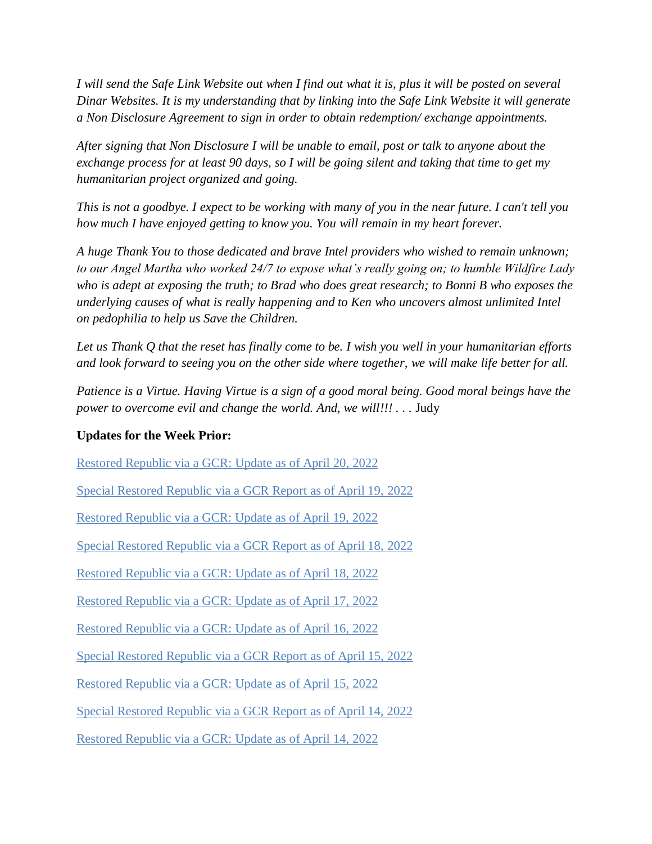*I will send the Safe Link Website out when I find out what it is, plus it will be posted on several Dinar Websites. It is my understanding that by linking into the Safe Link Website it will generate a Non Disclosure Agreement to sign in order to obtain redemption/ exchange appointments.*

*After signing that Non Disclosure I will be unable to email, post or talk to anyone about the exchange process for at least 90 days, so I will be going silent and taking that time to get my humanitarian project organized and going.*

*This is not a goodbye. I expect to be working with many of you in the near future. I can't tell you how much I have enjoyed getting to know you. You will remain in my heart forever.*

*A huge Thank You to those dedicated and brave Intel providers who wished to remain unknown; to our Angel Martha who worked 24/7 to expose what's really going on; to humble Wildfire Lady who is adept at exposing the truth; to Brad who does great research; to Bonni B who exposes the underlying causes of what is really happening and to Ken who uncovers almost unlimited Intel on pedophilia to help us Save the Children.*

*Let us Thank Q that the reset has finally come to be. I wish you well in your humanitarian efforts and look forward to seeing you on the other side where together, we will make life better for all.*

*Patience is a Virtue. Having Virtue is a sign of a good moral being. Good moral beings have the power to overcome evil and change the world. And, we will!!!* . . . Judy

#### **Updates for the Week Prior:**

[Restored Republic via a GCR: Update](https://operationdisclosureofficial.com/2022/04/20/restored-republic-via-a-gcr-as-of-april-20-2022/) as of April 20, 2022

[Special Restored Republic via a GCR Report as of April 19,](https://operationdisclosureofficial.com/2022/04/19/special-restored-republic-via-a-gcr-report-as-of-april-19-2022/) 2022

[Restored Republic via a GCR: Update as of April 19, 2022](https://operationdisclosureofficial.com/2022/04/19/restored-republic-via-a-gcr-as-of-april-19-2022/)

[Special Restored Republic via a GCR Report as of April 18,](https://operationdisclosureofficial.com/2022/04/18/special-restored-republic-via-a-gcr-report-as-of-april-18-2022/) 2022

[Restored Republic via a GCR: Update](https://operationdisclosureofficial.com/2022/04/18/restored-republic-via-a-gcr-as-of-april-18-2022/) as of April 18, 2022

[Restored Republic via a GCR: Update](https://operationdisclosureofficial.com/2022/04/17/restored-republic-via-a-gcr-as-of-april-17-2022/) as of April 17, 2022

Restored Republic via a GCR: Update as of April 16, 2022

[Special Restored Republic via a GCR Report as of April 15, 2022](https://operationdisclosureofficial.com/2022/04/15/special-restored-republic-via-a-gcr-report-as-of-april-15-2022/)

[Restored Republic via a GCR: Update](https://operationdisclosureofficial.com/2022/04/15/restored-republic-via-a-gcr-as-of-april-15-2022/) as of April 15, 2022

Special Restored Republic via a GCR Report as of April 14, 2022

[Restored Republic via a GCR: Update](https://operationdisclosureofficial.com/2022/04/14/restored-republic-via-a-gcr-as-of-april-14-2022/) as of April 14, 2022